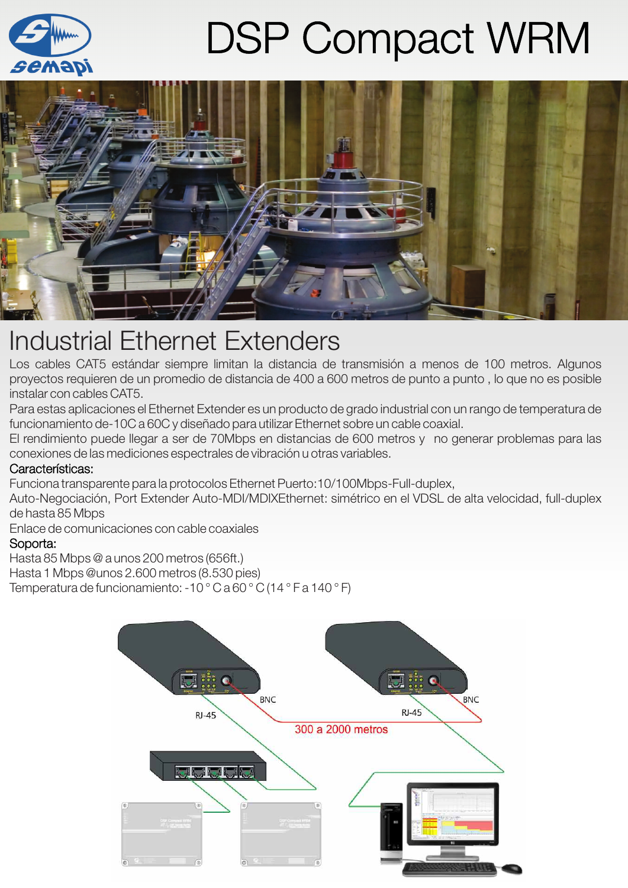

# DSP Compact WRM



## Industrial Ethernet Extenders

Los cables CAT5 estándar siempre limitan la distancia de transmisión a menos de 100 metros. Algunos proyectos requieren de un promedio de distancia de 400 a 600 metros de punto a punto, lo que no es posible instalar con cables CAT5.

Para estas aplicaciones el Ethernet Extender es un producto de grado industrial con un rango de temperatura de funcionamiento de-10C a 60C y diseñado para utilizar Ethernet sobre un cable coaxial.

El rendimiento puede llegar a ser de 70Mbps en distancias de 600 metros y no generar problemas para las conexiones de las mediciones espectrales de vibración u otras variables.

### Características:

Funciona transparente para la protocolos Ethernet Puerto:10/100Mbps-Full-duplex,

Auto-Negociación, Port Extender Auto-MDI/MDIXEthernet: simétrico en el VDSL de alta velocidad, full-duplex de hasta 85 Mbps

Enlace de comunicaciones con cable coaxiales

### Soporta:

Hasta 85 Mbps @ a unos 200 metros (656ft.)

Hasta 1 Mbps @unos 2.600 metros (8.530 pies)

Temperatura de funcionamiento: -10 ° C a 60 ° C (14 ° F a 140 ° F)